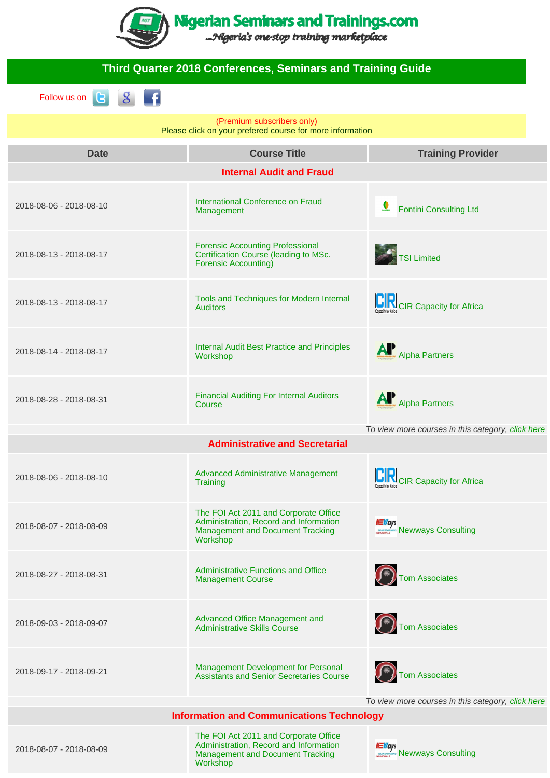

| <b>Third Quarter 2018 Conferences, Seminars and Training Guide</b>                                    |                                                                                                                                        |                                                                |
|-------------------------------------------------------------------------------------------------------|----------------------------------------------------------------------------------------------------------------------------------------|----------------------------------------------------------------|
| Follow us on<br><b>IG</b>                                                                             |                                                                                                                                        |                                                                |
| (Premium subscribers only)<br>Please click on your prefered course for more information               |                                                                                                                                        |                                                                |
| <b>Date</b>                                                                                           | <b>Course Title</b>                                                                                                                    | <b>Training Provider</b>                                       |
|                                                                                                       | <b>Internal Audit and Fraud</b>                                                                                                        |                                                                |
| 2018-08-06 - 2018-08-10                                                                               | International Conference on Fraud<br>Management                                                                                        | $\sum_{\text{FOKITIM}}$<br><b>Fontini Consulting Ltd</b>       |
| 2018-08-13 - 2018-08-17                                                                               | <b>Forensic Accounting Professional</b><br>Certification Course (leading to MSc.<br><b>Forensic Accounting)</b>                        | <b>S</b> TSI Limited                                           |
| 2018-08-13 - 2018-08-17                                                                               | Tools and Techniques for Modern Internal<br><b>Auditors</b>                                                                            | <b>IN CIR Capacity for Africa</b>                              |
| 2018-08-14 - 2018-08-17                                                                               | Internal Audit Best Practice and Principles<br>Workshop                                                                                | Alpha Partners                                                 |
| 2018-08-28 - 2018-08-31                                                                               | <b>Financial Auditing For Internal Auditors</b><br>Course                                                                              | Alpha Partners                                                 |
|                                                                                                       | <b>Administrative and Secretarial</b>                                                                                                  | To view more courses in this category, click here              |
|                                                                                                       |                                                                                                                                        |                                                                |
| 2018-08-06 - 2018-08-10                                                                               | <b>Advanced Administrative Management</b><br>Training                                                                                  | <b>NOVEL CIR Capacity for Africa</b>                           |
| 2018-08-07 - 2018-08-09                                                                               | The FOI Act 2011 and Corporate Office<br>Administration, Record and Information<br><b>Management and Document Tracking</b><br>Workshop | <b><i>NEWays</i></b><br><i><b>NEWAYS REWAYS Consulting</b></i> |
| 2018-08-27 - 2018-08-31                                                                               | <b>Administrative Functions and Office</b><br><b>Management Course</b>                                                                 | Tom Associates                                                 |
| 2018-09-03 - 2018-09-07                                                                               | Advanced Office Management and<br><b>Administrative Skills Course</b>                                                                  | Tom Associates                                                 |
| 2018-09-17 - 2018-09-21                                                                               | Management Development for Personal<br><b>Assistants and Senior Secretaries Course</b>                                                 | Tom Associates                                                 |
| To view more courses in this category, click here<br><b>Information and Communications Technology</b> |                                                                                                                                        |                                                                |
| The FOI Act 2011 and Corporate Office                                                                 |                                                                                                                                        |                                                                |

[Administration, Record and Information](https://www.nigerianseminarsandtrainings.com/event_detail?id=31831) [Management and Document Tracking](https://www.nigerianseminarsandtrainings.com/event_detail?id=31831) [Workshop](https://www.nigerianseminarsandtrainings.com/event_detail?id=31831)

*NEWays*<br>
Mewways Consulting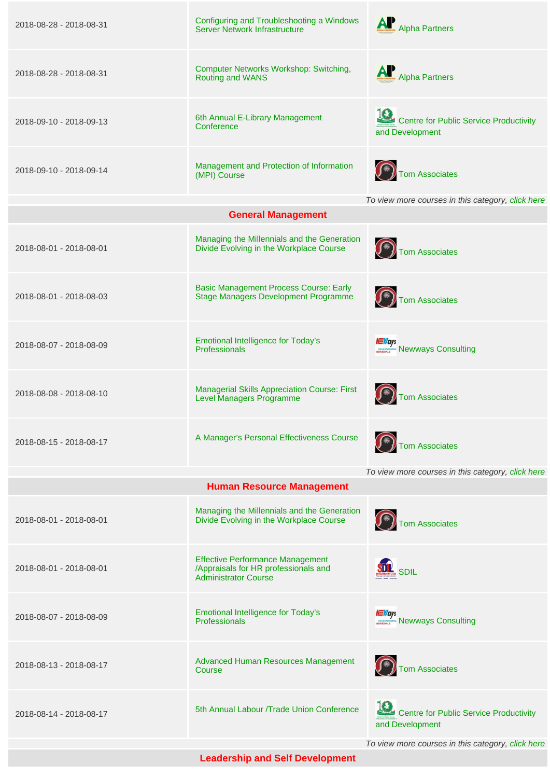| 2018-08-28 - 2018-08-31 | Configuring and Troubleshooting a Windows<br>Server Network Infrastructure                                     | AP<br><b>Alpha Partners</b>                                     |
|-------------------------|----------------------------------------------------------------------------------------------------------------|-----------------------------------------------------------------|
| 2018-08-28 - 2018-08-31 | <b>Computer Networks Workshop: Switching,</b><br><b>Routing and WANS</b>                                       | Alpha Partners                                                  |
| 2018-09-10 - 2018-09-13 | 6th Annual E-Library Management<br>Conference                                                                  | Centre for Public Service Productivity<br>and Development       |
| 2018-09-10 - 2018-09-14 | Management and Protection of Information<br>(MPI) Course                                                       | Tom Associates                                                  |
|                         |                                                                                                                | To view more courses in this category, click here               |
|                         | <b>General Management</b>                                                                                      |                                                                 |
| 2018-08-01 - 2018-08-01 | Managing the Millennials and the Generation<br>Divide Evolving in the Workplace Course                         | $(\widehat{})$ Tom Associates                                   |
| 2018-08-01 - 2018-08-03 | <b>Basic Management Process Course: Early</b><br>Stage Managers Development Programme                          | Tom Associates                                                  |
| 2018-08-07 - 2018-08-09 | <b>Emotional Intelligence for Today's</b><br>Professionals                                                     | <i><b>NEWays</b></i><br><b>MEWAYS Consulting</b>                |
| 2018-08-08 - 2018-08-10 | <b>Managerial Skills Appreciation Course: First</b><br><b>Level Managers Programme</b>                         | (Fast) Tom Associates                                           |
| 2018-08-15 - 2018-08-17 | A Manager's Personal Effectiveness Course                                                                      | Tom Associates                                                  |
|                         |                                                                                                                | To view more courses in this category, click here               |
|                         | <b>Human Resource Management</b>                                                                               |                                                                 |
| 2018-08-01 - 2018-08-01 | Managing the Millennials and the Generation<br>Divide Evolving in the Workplace Course                         | ( <del>K)</del> Tom Associates                                  |
| 2018-08-01 - 2018-08-01 | <b>Effective Performance Management</b><br>/Appraisals for HR professionals and<br><b>Administrator Course</b> | <b>SDIL</b> SDIL                                                |
| 2018-08-07 - 2018-08-09 | <b>Emotional Intelligence for Today's</b><br>Professionals                                                     | <i><b>NEWays</b></i><br><i><b>NEWAYS NEWWAYS Consulting</b></i> |
| 2018-08-13 - 2018-08-17 | Advanced Human Resources Management<br>Course                                                                  | Tom Associates                                                  |
| 2018-08-14 - 2018-08-17 | 5th Annual Labour /Trade Union Conference                                                                      | Centre for Public Service Productivity<br>and Development       |
|                         |                                                                                                                | To view more courses in this category, click here               |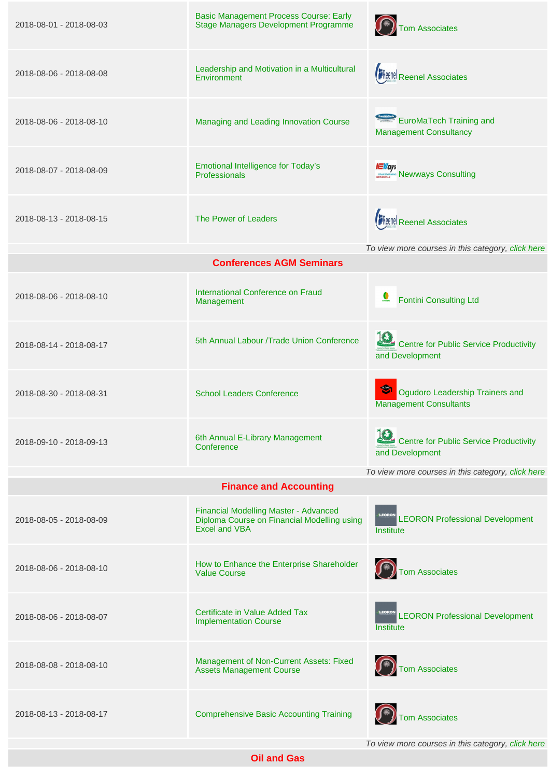| 2018-08-01 - 2018-08-03 | <b>Basic Management Process Course: Early</b><br>Stage Managers Development Programme                        | $\left(\widehat{f^*}\right)$ Tom Associates                      |
|-------------------------|--------------------------------------------------------------------------------------------------------------|------------------------------------------------------------------|
| 2018-08-06 - 2018-08-08 | Leadership and Motivation in a Multicultural<br>Environment                                                  | <b>FReenel Reenel Associates</b>                                 |
| 2018-08-06 - 2018-08-10 | Managing and Leading Innovation Course                                                                       | EuroMaTech Training and<br><b>Management Consultancy</b>         |
| 2018-08-07 - 2018-08-09 | <b>Emotional Intelligence for Today's</b><br>Professionals                                                   | <b><i>NEWays</i></b><br><i>MEWASYS MEWWAYS Consulting</i>        |
| 2018-08-13 - 2018-08-15 | The Power of Leaders                                                                                         | <b>FReenel Reenel Associates</b>                                 |
|                         | <b>Conferences AGM Seminars</b>                                                                              | To view more courses in this category, click here                |
|                         |                                                                                                              |                                                                  |
| 2018-08-06 - 2018-08-10 | International Conference on Fraud<br>Management                                                              | <b>Fontini Consulting Ltd</b>                                    |
| 2018-08-14 - 2018-08-17 | 5th Annual Labour /Trade Union Conference                                                                    | Centre for Public Service Productivity<br>and Development        |
| 2018-08-30 - 2018-08-31 | <b>School Leaders Conference</b>                                                                             | Ogudoro Leadership Trainers and<br><b>Management Consultants</b> |
| 2018-09-10 - 2018-09-13 | 6th Annual E-Library Management<br>Conference                                                                | Centre for Public Service Productivity<br>and Development        |
|                         |                                                                                                              | To view more courses in this category, click here                |
|                         | <b>Finance and Accounting</b>                                                                                |                                                                  |
| 2018-08-05 - 2018-08-09 | Financial Modelling Master - Advanced<br>Diploma Course on Financial Modelling using<br><b>Excel and VBA</b> | LEORON Professional Development<br>Institute                     |
| 2018-08-06 - 2018-08-10 | How to Enhance the Enterprise Shareholder<br><b>Value Course</b>                                             | $\left(\widehat{f}\right)$ Tom Associates                        |
| 2018-08-06 - 2018-08-07 | Certificate in Value Added Tax<br><b>Implementation Course</b>                                               | LEORON Professional Development<br>Institute                     |
| 2018-08-08 - 2018-08-10 | Management of Non-Current Assets: Fixed<br><b>Assets Management Course</b>                                   | ( <del>K)</del> Tom Associates                                   |
| 2018-08-13 - 2018-08-17 | <b>Comprehensive Basic Accounting Training</b>                                                               | ( <del>K)</del> Tom Associates                                   |
|                         |                                                                                                              | To view more courses in this category, click here                |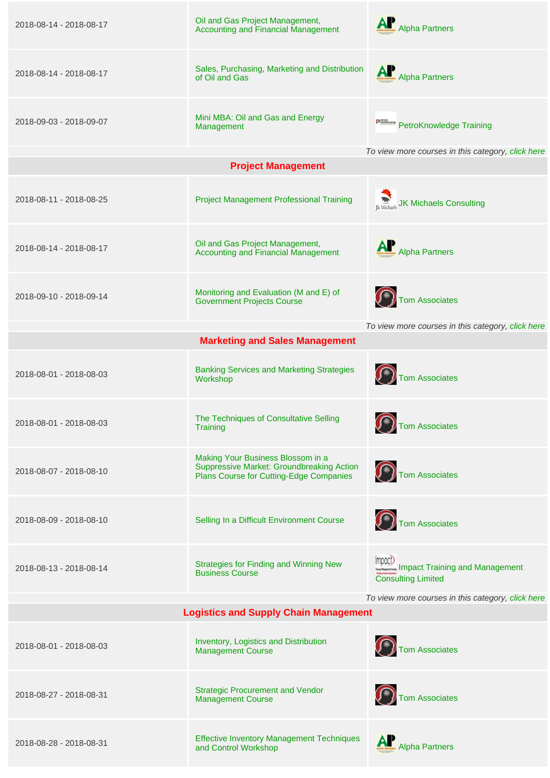| 2018-08-14 - 2018-08-17                           | Oil and Gas Project Management,<br><b>Accounting and Financial Management</b>                                             | Alpha Partners                                                       |
|---------------------------------------------------|---------------------------------------------------------------------------------------------------------------------------|----------------------------------------------------------------------|
| 2018-08-14 - 2018-08-17                           | Sales, Purchasing, Marketing and Distribution<br>of Oil and Gas                                                           | Alpha Partners                                                       |
| 2018-09-03 - 2018-09-07                           | Mini MBA: Oil and Gas and Energy<br>Management                                                                            | <b>PERMIDE PetroKnowledge Training</b>                               |
|                                                   | <b>Project Management</b>                                                                                                 | To view more courses in this category, click here                    |
|                                                   |                                                                                                                           |                                                                      |
| 2018-08-11 - 2018-08-25                           | <b>Project Management Professional Training</b>                                                                           | Ik Michaels Consulting                                               |
| 2018-08-14 - 2018-08-17                           | Oil and Gas Project Management,<br><b>Accounting and Financial Management</b>                                             | Alpha Partners                                                       |
| 2018-09-10 - 2018-09-14                           | Monitoring and Evaluation (M and E) of<br><b>Government Projects Course</b>                                               | ( <del>K)</del> Tom Associates                                       |
|                                                   | <b>Marketing and Sales Management</b>                                                                                     | To view more courses in this category, click here                    |
|                                                   |                                                                                                                           |                                                                      |
| 2018-08-01 - 2018-08-03                           | <b>Banking Services and Marketing Strategies</b><br>Workshop                                                              | $\left(\widehat{})\right)$ Tom Associates                            |
| 2018-08-01 - 2018-08-03                           | The Techniques of Consultative Selling<br>Training                                                                        | ( <del>K)</del> Tom Associates                                       |
| 2018-08-07 - 2018-08-10                           | Making Your Business Blossom in a<br>Suppressive Market: Groundbreaking Action<br>Plans Course for Cutting-Edge Companies | Tom Associates                                                       |
| 2018-08-09 - 2018-08-10                           | Selling In a Difficult Environment Course                                                                                 | ( <del>R)</del><br>Tom Associates                                    |
| 2018-08-13 - 2018-08-14                           | <b>Strategies for Finding and Winning New</b><br><b>Business Course</b>                                                   | mpach<br>Impact Training and Management<br><b>Consulting Limited</b> |
| To view more courses in this category, click here |                                                                                                                           |                                                                      |
|                                                   | <b>Logistics and Supply Chain Management</b>                                                                              |                                                                      |
| 2018-08-01 - 2018-08-03                           | Inventory, Logistics and Distribution<br><b>Management Course</b>                                                         | Tom Associates                                                       |
| 2018-08-27 - 2018-08-31                           | <b>Strategic Procurement and Vendor</b><br><b>Management Course</b>                                                       | Tom Associates                                                       |
| 2018-08-28 - 2018-08-31                           | <b>Effective Inventory Management Techniques</b><br>and Control Workshop                                                  | Alpha Partners                                                       |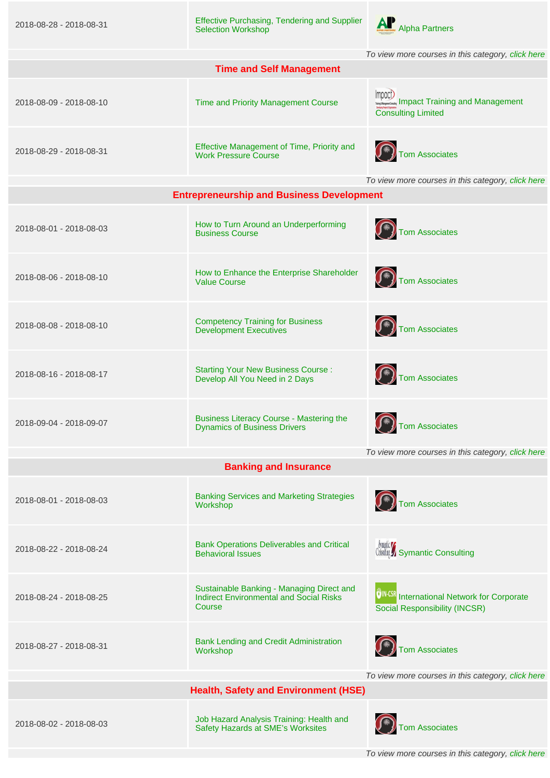| 2018-08-28 - 2018-08-31                           | <b>Effective Purchasing, Tendering and Supplier</b><br><b>Selection Workshop</b>                      | Alpha Partners                                                                      |
|---------------------------------------------------|-------------------------------------------------------------------------------------------------------|-------------------------------------------------------------------------------------|
|                                                   |                                                                                                       | To view more courses in this category, click here                                   |
|                                                   | <b>Time and Self Management</b>                                                                       |                                                                                     |
| 2018-08-09 - 2018-08-10                           | Time and Priority Management Course                                                                   | Impact)<br>Impact Training and Management<br><b>Consulting Limited</b>              |
| 2018-08-29 - 2018-08-31                           | Effective Management of Time, Priority and<br><b>Work Pressure Course</b>                             | (*)<br>Tom Associates                                                               |
|                                                   | <b>Entrepreneurship and Business Development</b>                                                      | To view more courses in this category, click here                                   |
| 2018-08-01 - 2018-08-03                           | How to Turn Around an Underperforming<br><b>Business Course</b>                                       | ( <sup>*</sup> ) Tom Associates                                                     |
| 2018-08-06 - 2018-08-10                           | How to Enhance the Enterprise Shareholder<br><b>Value Course</b>                                      | Tom Associates                                                                      |
| 2018-08-08 - 2018-08-10                           | <b>Competency Training for Business</b><br><b>Development Executives</b>                              | Tom Associates                                                                      |
| 2018-08-16 - 2018-08-17                           | <b>Starting Your New Business Course:</b><br>Develop All You Need in 2 Days                           | Tom Associates                                                                      |
| 2018-09-04 - 2018-09-07                           | <b>Business Literacy Course - Mastering the</b><br><b>Dynamics of Business Drivers</b>                | Tom Associates                                                                      |
|                                                   |                                                                                                       | To view more courses in this category, click here                                   |
|                                                   | <b>Banking and Insurance</b>                                                                          |                                                                                     |
| 2018-08-01 - 2018-08-03                           | <b>Banking Services and Marketing Strategies</b><br>Workshop                                          | Tom Associates                                                                      |
| 2018-08-22 - 2018-08-24                           | <b>Bank Operations Deliverables and Critical</b><br><b>Behavioral Issues</b>                          | <b><i><u>Synaptic</u></i></b><br>Consulting Symantic Consulting                     |
| 2018-08-24 - 2018-08-25                           | Sustainable Banking - Managing Direct and<br><b>Indirect Environmental and Social Risks</b><br>Course | OIN-CSR International Network for Corporate<br><b>Social Responsibility (INCSR)</b> |
| 2018-08-27 - 2018-08-31                           | <b>Bank Lending and Credit Administration</b><br>Workshop                                             | Tom Associates                                                                      |
| To view more courses in this category, click here |                                                                                                       |                                                                                     |
| <b>Health, Safety and Environment (HSE)</b>       |                                                                                                       |                                                                                     |
| 2018-08-02 - 2018-08-03                           | Job Hazard Analysis Training: Health and<br>Safety Hazards at SME's Worksites                         | ( <del>K)</del> Tom Associates                                                      |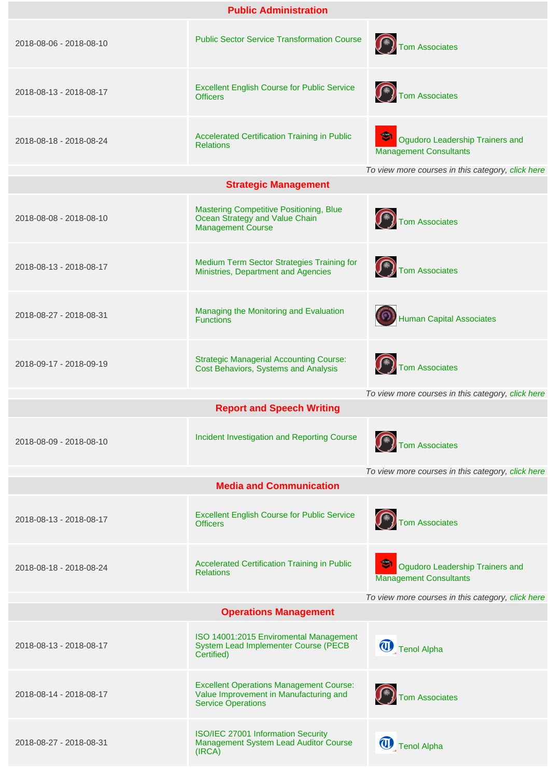| <b>Public Administration</b>                                                      |                                                                                                                       |                                                                     |  |
|-----------------------------------------------------------------------------------|-----------------------------------------------------------------------------------------------------------------------|---------------------------------------------------------------------|--|
| 2018-08-06 - 2018-08-10                                                           | <b>Public Sector Service Transformation Course</b>                                                                    | $\left(\widehat{**}\right)$ Tom Associates                          |  |
| 2018-08-13 - 2018-08-17                                                           | <b>Excellent English Course for Public Service</b><br><b>Officers</b>                                                 | Tom Associates                                                      |  |
| 2018-08-18 - 2018-08-24                                                           | <b>Accelerated Certification Training in Public</b><br><b>Relations</b>                                               | Ogudoro Leadership Trainers and<br><b>Management Consultants</b>    |  |
|                                                                                   | <b>Strategic Management</b>                                                                                           | To view more courses in this category, click here                   |  |
| 2018-08-08 - 2018-08-10                                                           | <b>Mastering Competitive Positioning, Blue</b><br>Ocean Strategy and Value Chain<br><b>Management Course</b>          | $\left(\widehat{A}\right)$ Tom Associates                           |  |
| 2018-08-13 - 2018-08-17                                                           | Medium Term Sector Strategies Training for<br>Ministries, Department and Agencies                                     | Tom Associates                                                      |  |
| 2018-08-27 - 2018-08-31                                                           | Managing the Monitoring and Evaluation<br><b>Functions</b>                                                            | (O) Human Capital Associates                                        |  |
| 2018-09-17 - 2018-09-19                                                           | <b>Strategic Managerial Accounting Course:</b><br>Cost Behaviors, Systems and Analysis                                | Tom Associates<br>To view more courses in this category, click here |  |
|                                                                                   | <b>Report and Speech Writing</b>                                                                                      |                                                                     |  |
| 2018-08-09 - 2018-08-10                                                           | Incident Investigation and Reporting Course                                                                           | $\left(\widehat{f^*}\right)$ Tom Associates                         |  |
|                                                                                   | <b>Media and Communication</b>                                                                                        | To view more courses in this category, click here                   |  |
| 2018-08-13 - 2018-08-17                                                           | <b>Excellent English Course for Public Service</b><br><b>Officers</b>                                                 | $\left(\widehat{})\right)$ Tom Associates                           |  |
| 2018-08-18 - 2018-08-24                                                           | <b>Accelerated Certification Training in Public</b><br><b>Relations</b>                                               | Ogudoro Leadership Trainers and<br><b>Management Consultants</b>    |  |
| To view more courses in this category, click here<br><b>Operations Management</b> |                                                                                                                       |                                                                     |  |
| 2018-08-13 - 2018-08-17                                                           | ISO 14001:2015 Enviromental Management<br>System Lead Implementer Course (PECB<br>Certified)                          | Tenol Alpha                                                         |  |
| 2018-08-14 - 2018-08-17                                                           | <b>Excellent Operations Management Course:</b><br>Value Improvement in Manufacturing and<br><b>Service Operations</b> | $\left(\widehat{J^*}\right)$ Tom Associates                         |  |
| 2018-08-27 - 2018-08-31                                                           | ISO/IEC 27001 Information Security<br>Management System Lead Auditor Course<br>(IRCA)                                 | Tenol Alpha                                                         |  |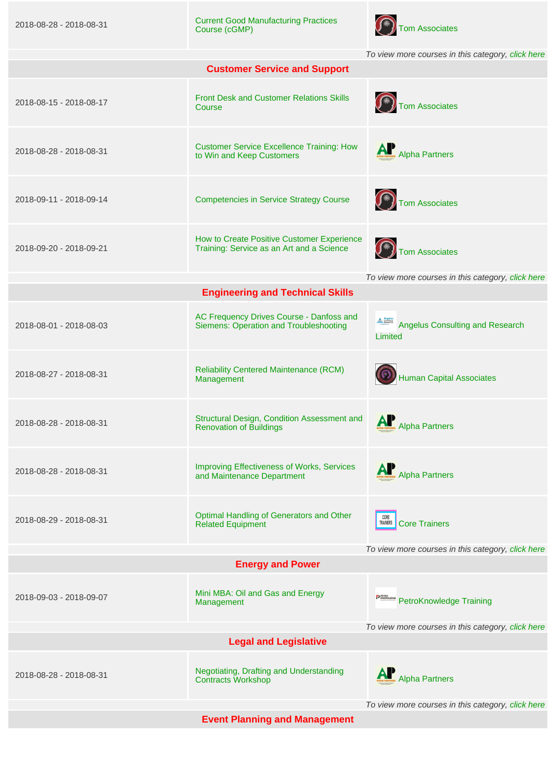2018-08-28 - 2018-08-31 [Current Good Manufacturing Practices](https://www.nigerianseminarsandtrainings.com/event_detail?id=46763) [Course \(cGMP\)](https://www.nigerianseminarsandtrainings.com/event_detail?id=46763) [Tom Associates](https://www.tomassociatesng.com)



To view more courses in this category, [click here](https://www.nigerianseminarsandtrainings.com/operations-management)

| <b>Customer Service and Support</b>               |                                                                                         |                                                   |  |
|---------------------------------------------------|-----------------------------------------------------------------------------------------|---------------------------------------------------|--|
| 2018-08-15 - 2018-08-17                           | <b>Front Desk and Customer Relations Skills</b><br>Course                               | Tom Associates                                    |  |
| 2018-08-28 - 2018-08-31                           | <b>Customer Service Excellence Training: How</b><br>to Win and Keep Customers           | AP<br>Mpha Partners                               |  |
| 2018-09-11 - 2018-09-14                           | <b>Competencies in Service Strategy Course</b>                                          | Tom Associates                                    |  |
| 2018-09-20 - 2018-09-21                           | How to Create Positive Customer Experience<br>Training: Service as an Art and a Science | Tom Associates                                    |  |
|                                                   |                                                                                         | To view more courses in this category, click here |  |
|                                                   | <b>Engineering and Technical Skills</b>                                                 |                                                   |  |
| 2018-08-01 - 2018-08-03                           | AC Frequency Drives Course - Danfoss and<br>Siemens: Operation and Troubleshooting      | Angelus Consulting and Research<br>Limited        |  |
| 2018-08-27 - 2018-08-31                           | <b>Reliability Centered Maintenance (RCM)</b><br>Management                             | Human Capital Associates                          |  |
| 2018-08-28 - 2018-08-31                           | Structural Design, Condition Assessment and<br><b>Renovation of Buildings</b>           | Alpha Partners                                    |  |
| 2018-08-28 - 2018-08-31                           | <b>Improving Effectiveness of Works, Services</b><br>and Maintenance Department         | Alpha Partners                                    |  |
| 2018-08-29 - 2018-08-31                           | Optimal Handling of Generators and Other<br><b>Related Equipment</b>                    | CORE<br>TRAINERS<br><b>Core Trainers</b>          |  |
|                                                   |                                                                                         | To view more courses in this category, click here |  |
|                                                   | <b>Energy and Power</b>                                                                 |                                                   |  |
| 2018-09-03 - 2018-09-07                           | Mini MBA: Oil and Gas and Energy<br>Management                                          | <b>PROMIDOR</b> PetroKnowledge Training           |  |
| To view more courses in this category, click here |                                                                                         |                                                   |  |
| <b>Legal and Legislative</b>                      |                                                                                         |                                                   |  |
| 2018-08-28 - 2018-08-31                           | Negotiating, Drafting and Understanding<br><b>Contracts Workshop</b>                    | Alpha Partners                                    |  |
|                                                   |                                                                                         | To view more courses in this category, click here |  |

**Event Planning and Management**